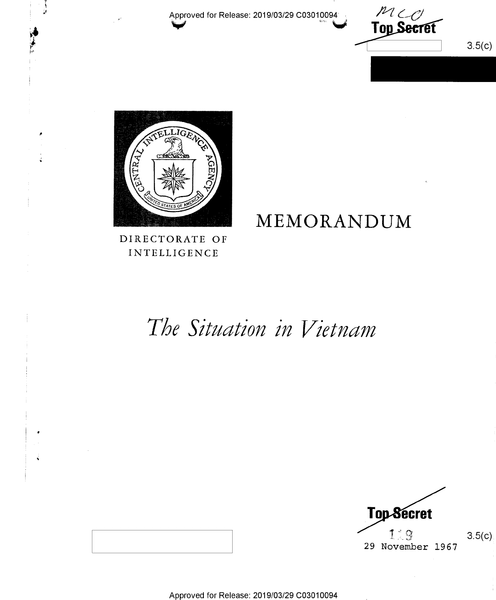



DIRECTORATE OF INTELLIGENCE

## MEMORANDUM

# The Situation in Vietnam

**Top Secret**  $3.5(c)$  $1\,{}^{\circ}\,9$ 29 November 1967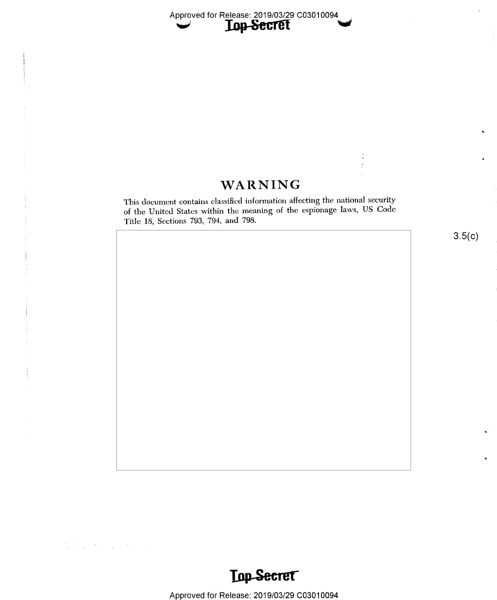### WARNING

 $\mathbb{I}$ 

This document contains classified information affecting the national security of the United States within the meaning of the espionage laws, US Code Title 18, Sections 793, 794, and 798.

 $3.5(c)$ 



Approved for Release: 2019/03/29 C03010094

 $\label{eq:1.1} \frac{1}{\sqrt{2}}\sqrt{2\pi}\left[\frac{1}{\sqrt{2}}\left(\frac{1}{\sqrt{2}}\right)^2\right] \left(\frac{1}{\sqrt{2}}\right)^2\left(\frac{1}{\sqrt{2}}\right)^2\left(\frac{1}{\sqrt{2}}\right)^2\left(\frac{1}{\sqrt{2}}\right)^2\left(\frac{1}{\sqrt{2}}\right)^2\left(\frac{1}{\sqrt{2}}\right)^2\left(\frac{1}{\sqrt{2}}\right)^2\left(\frac{1}{\sqrt{2}}\right)^2\left(\frac{1}{\sqrt{2}}\right)^2\left(\frac{1}{\sqrt{2}}\right)^2\left(\frac$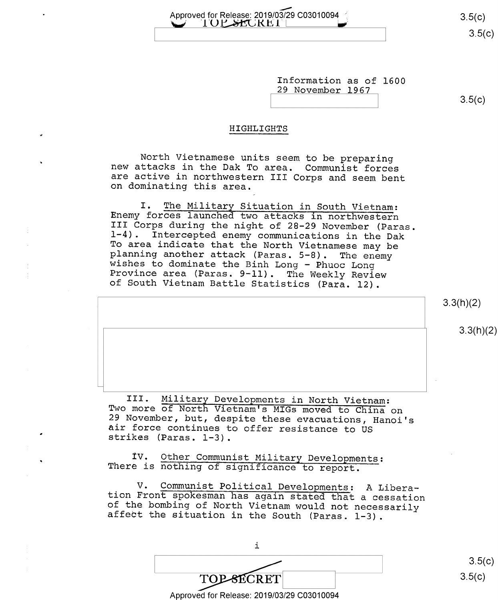Approved for Release:  $2019/03/29$  C03010094 f 3.5(c)  $\cup$  iolstckei

Information as of 1600 29 November 1967

 $3.5(c)$ 

### HIGHLIGHTS

North Vietnamese units seem to be preparing new attacks in the Dak To area. Communist forces are active in northwestern III Corps and seem bent on dominating this area.

I. The Military Situation in South Vietnam:<br>Enemy forces launched two attacks in northwestern<br>III Corps during the night of 28-29 November (Paras.<br>1-4). Intercepted enemy communications in the Dak<br>To area indicate that the

3.3(h)(2)

3.3(h)(2)

III. Military Developments in North Vietnam:<br>Two more of North Vietnam's MIGs moved to China on<br>29 November, but, despite these evacuations, Hanoi's<br>air force continues to offer resistance to US<br>strikes (Paras. l-3).

IV. Qther Communist Military Developments: There is nothing of significance to report.

V. Communist Political Developments: A Libera— tion Front spokesman has again stated that a cessation of the bombing of North Vietnam would not necessarily affect the situation in the South (Paras. l-3).

i i<br>
TOP-SECRET 3.5(c)

 $3.5(c)$ 

Approved for Release: 2019/03/29 C03010094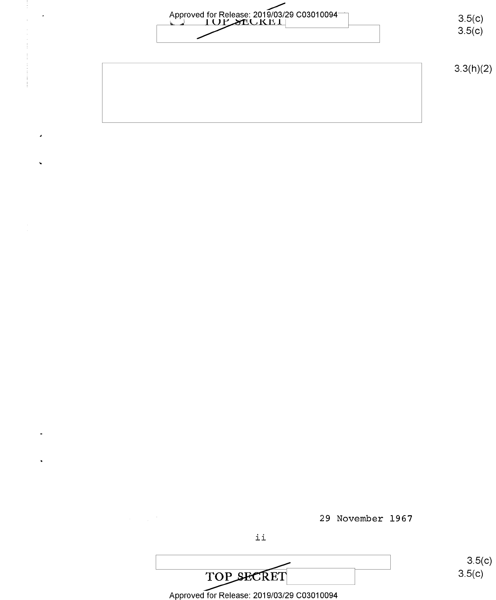

29 November 1967

TOP SECRET Approved for Release: 2019/03/29 C03010094

ii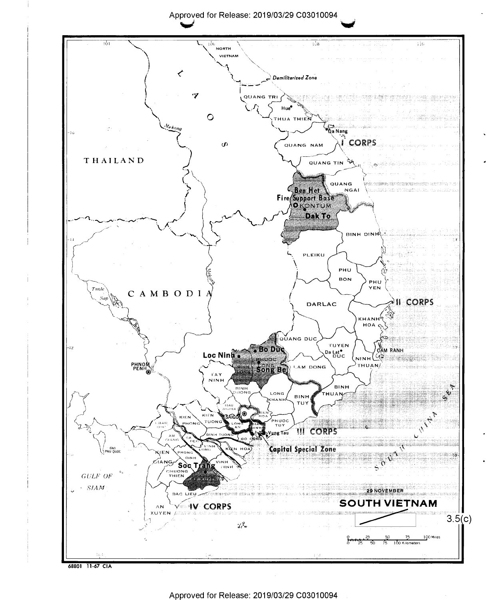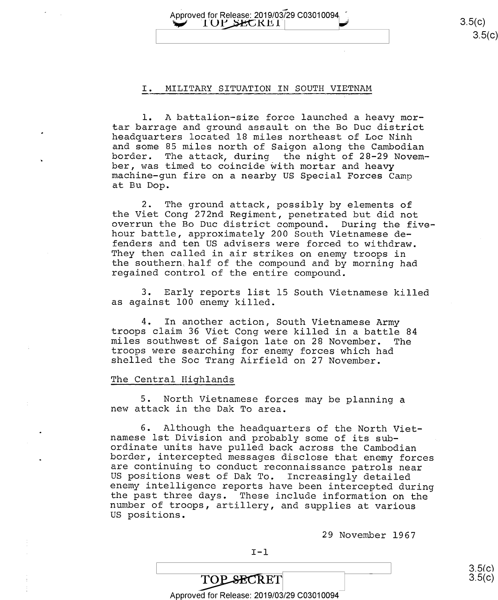$3.5(c)$ رب<sub>)</sub>ت.

3.5(c)<br>3.5(c)

### I. MILITARY SITUATION IN SOUTH VIETNAM

Approved for Release: 2019/03/29 C03010094

 $\blacktriangleright$  10P SECRET

1. A battalion-size force launched a heavy mor-<br>tar barrage and ground assault on the Bo Duc district headquarters located 18 miles northeast of Loc Ninh and some 85 miles north of Saigon along the Cambodian border. The attack, during the night of 28-29 Novem-<br>ber, was timed to coincide with mortar and heavy machine-gun fire on a nearby US Special Forces Camp at Bu Dop.

2. The ground attack, possibly by elements of<br>the Viet Cong 272nd Regiment, penetrated but did not<br>overrun the Bo Duc district compound. During the five-<br>hour battle, approximately 200 South Vietnamese defenders and ten US advisers were forced to withdraw.<br>They then called in air strikes on enemy troops in the southern half of the compound and by morning had regained control of the entire compound.

3. Early reports list l5 South Vietnamese killed as against 100 enemy killed.

4. In another action, South Vietnamese Army<br>troops claim 36 Viet Cong were killed in a battle 84<br>miles southwest of Saigon late on 28 November. The<br>troops were searching for enemy forces which had<br>shelled the Soc Trang Air

### The Central Highlands

5. North Vietnamese forces may be planning <sup>a</sup>new attack in the Dak To area.

6. Although the headquarters of the North Viet-<br>namese 1st Division and probably some of its sub-<br>ordinate units have pulled back across the Cambodian<br>border, intercepted messages disclose that enemy forces<br>are continuing

29 November 1967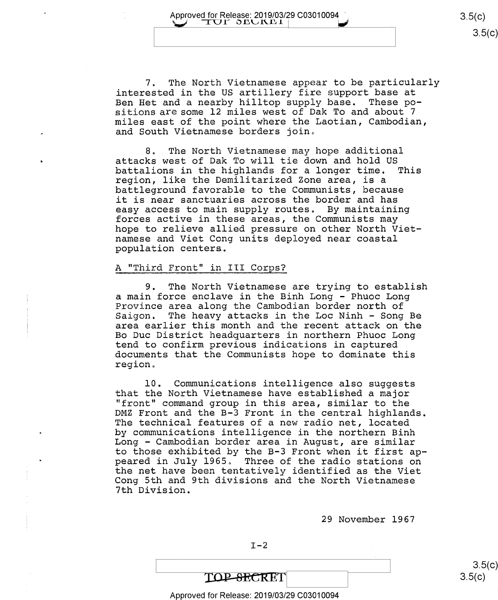Approved for Release: 2019/03/29 C03010094  $3.5(c)$   $3.5(c)$ 

 $3.5(c)$ 

7. The North Vietnamese appear to be particularly interested in the US artillery fire support base at Ben Het and a nearby hilltop supply base. These positions are some 12 miles west of Dak To and about <sup>7</sup> miles east of the point where the Laotian, Cambodian, and South Vietnamese borders join.

8. The North Vietnamese may hope additional attacks west of Dak To will tie down and hold US battalions in the highlands for a longer time. region, like the Demilitarized Zone area, is a battleground favorable to the Communists, because it is near sanctuaries across the border and has easy access to main supply routes. By maintaining<br>forces active in these areas, the Communists may hope to relieve allied pressure on other North Vietnamese and Viet Cong units deployed near coastal population centers.

### A "Third Front" in III Corps?

9. The North Vietnamese are trying to establish<br>a main force enclave in the Binh Long - Phuoc Long Province area along the Cambodian border north of<br>Saigon. The heavy attacks in the Loc Ninh - Song The heavy attacks in the Loc Ninh - Song Be area earlier this month and the recent attack on the Bo Duc District headquarters in northern Phuoc Long tend to confirm previous indications in captured documents that the Communists hope to dominate this region.

10. Communications intelligence also suggests<br>that the North Vietnamese have established a major "front" command group in this area, similar to the DMZ Front and the B-3 Front in the central highlands. The technical features of a new radio net, located<br>by communications intelligence in the northern Binh Long - Cambodian border area in August, are similar to those exhibited by the B-3 Front when it first ap-<br>peared in July 1965. Three of the radio stations on the net have been tentatively identified as the Viet Cong 5th and 9th divisions and the North Vietnamese 7th Division.

29 November l967

### TOP-SECRET

### Approved for Release: 2019/03/29 C03010094

 $\frac{1}{2}$  s.5(c)  $3.5(c)$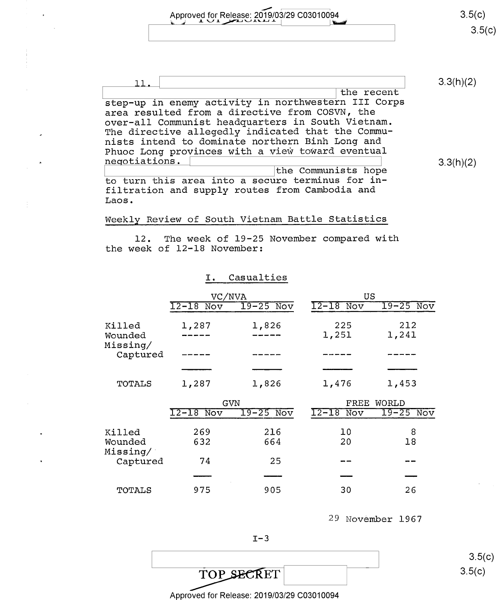Approved for Release: 206/03/29 C03010094 \*4 4' <sup>L</sup>\/\*\_»'1J~\*\*\\*#\* pyeiiw

 $3.5(c)$  $3.5(c)$ 

| step-up in enemy activity in northwestern III Corps                                                         |           |  |  |
|-------------------------------------------------------------------------------------------------------------|-----------|--|--|
|                                                                                                             |           |  |  |
| area resulted from a directive from COSVN, the                                                              |           |  |  |
| over-all Communist headquarters in South Vietnam.                                                           |           |  |  |
| The directive allegedly indicated that the Commu-                                                           |           |  |  |
| nists intend to dominate northern Binh Long and                                                             |           |  |  |
| Phuoc Long provinces with a view toward eventual                                                            |           |  |  |
| negotiations.                                                                                               | 3.3(h)(2) |  |  |
| the Communists hope                                                                                         |           |  |  |
| to turn this area into a secure terminus for in-<br>filtration and supply routes from Cambodia and<br>Laos. |           |  |  |

### Weekly Review of South Vietnam Battle Statistics

12. The week of 19-25 November compared with the week of 12-18 November:

### I. Casualties

|                     | VC/NVA      |             | US          |             |
|---------------------|-------------|-------------|-------------|-------------|
|                     | $I2-18$ Nov | $19-25$ Nov | $12-18$ Nov | $19-25$ Nov |
| Killed              | 1,287       | 1,826       | 225         | 212         |
| Wounded<br>Missing/ |             |             | 1,251       | 1,241       |
| Captured            |             |             |             |             |
|                     |             |             |             |             |
| TOTALS              | 1,287       | 1,826       | 1,476       | 1,453       |

|                      | GVN            |             | $\rm{FREE}$<br>WORLD |             |
|----------------------|----------------|-------------|----------------------|-------------|
|                      | $12 - 18$ Nov  | $19-25$ Nov | $12 - 18$<br>Nov     | $19-25$ Nov |
| Killed<br>Wounded    | 269<br>632     | 216<br>664  | 10<br>20             | 8<br>18     |
| Missing/<br>Captured | 74             | 25          |                      |             |
| TOTALS               | $\cdot$<br>975 | 905         | 30                   | 26          |

29 November 1967

 $I-3$ 

TOP SECRET

Approved for Release: 2019/03/29 C03010094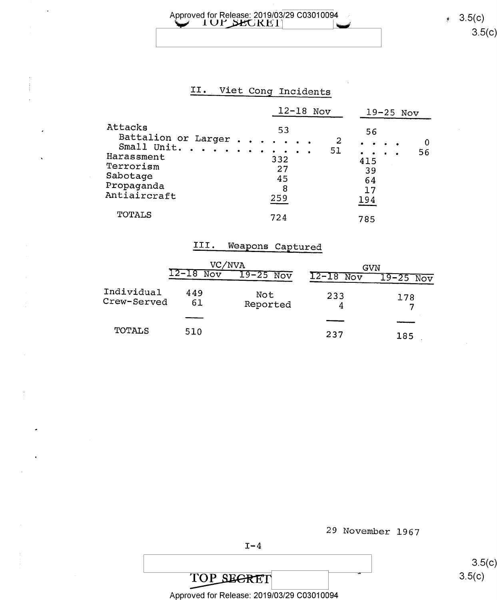$\overline{\phantom{a}}$ 

### II. Viet Cong Incidents

|                                                                                                                         | $12-18$ Nov                        | $19-25$ Nov                |
|-------------------------------------------------------------------------------------------------------------------------|------------------------------------|----------------------------|
| Attacks<br>Battalion or Larger<br>Small Unit.<br><b><i>A A A A A A A A A</i></b><br>Harassment<br>Terrorism<br>Sabotage | 53<br>51<br>$\bullet$<br>332<br>27 | 56<br>2<br>56<br>415<br>39 |
| Propaganda<br>Antiaircraft<br>TOTALS                                                                                    | 45<br>8<br>259<br>724              | 64<br>17<br>194<br>785     |

### III. Weapons Captured

|                           | VC/NVA      |                 | GVN              |             |
|---------------------------|-------------|-----------------|------------------|-------------|
|                           | $12-18$ Nov | $19-25$ Nov     | $12 - 18$<br>Nov | $19-25$ Nov |
| Individual<br>Crew-Served | 449<br>61   | Not<br>Reported | 233              | 178<br>7    |
|                           |             |                 |                  |             |
| <b>TOTALS</b>             | 510         |                 | 237              | 185         |



TOP SEGRET

Approved for Release: 2019/03/29 C03010094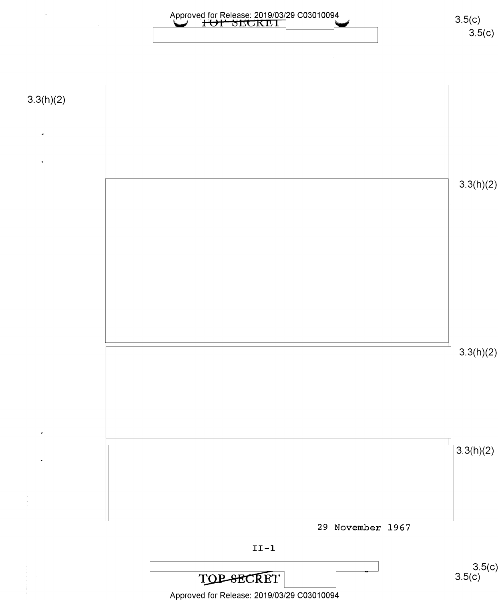Approved for Release: 2019/03/29 C03010094 <br>
<del>CONSTRUIT</del> 3.5(C)

 $3.5(c)$ 

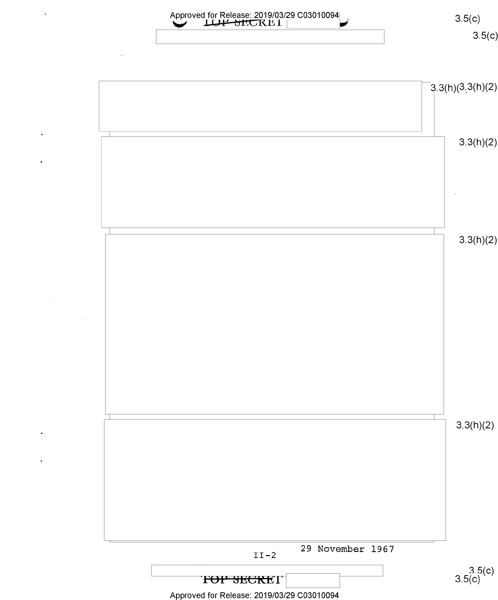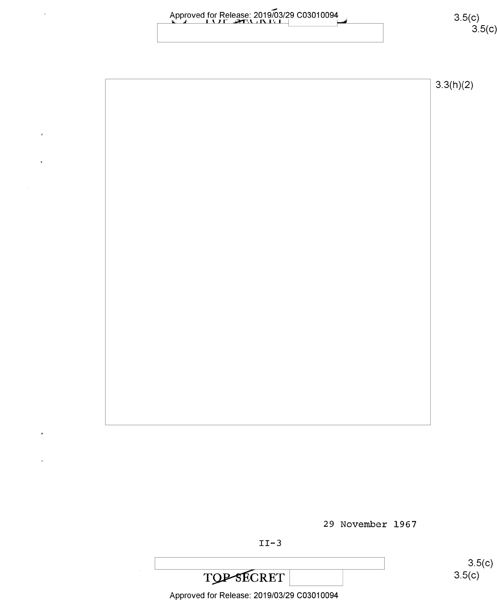| Approved for Release: 2019/03/29 C03010094 | $3.5(c)$<br>$3.5(c)$ |
|--------------------------------------------|----------------------|
|                                            | 3.3(h)(2)            |
|                                            |                      |
|                                            |                      |
|                                            |                      |
|                                            |                      |
|                                            |                      |

 $\bar{z}$ 

29 November 1967



## TOP SECRET

Approved for Release: 2019/03/29 C03010094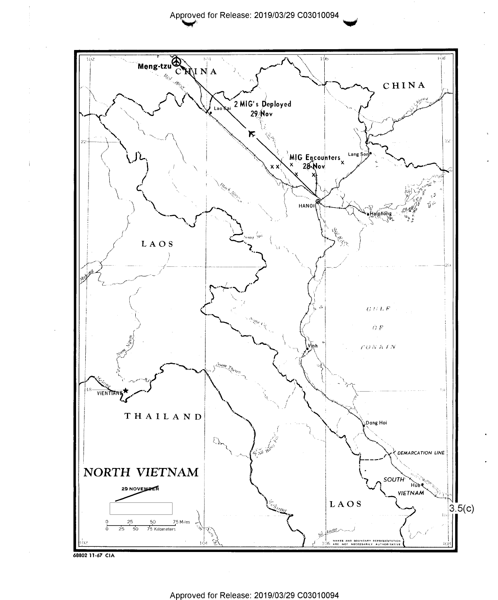

68802 11-67 CIA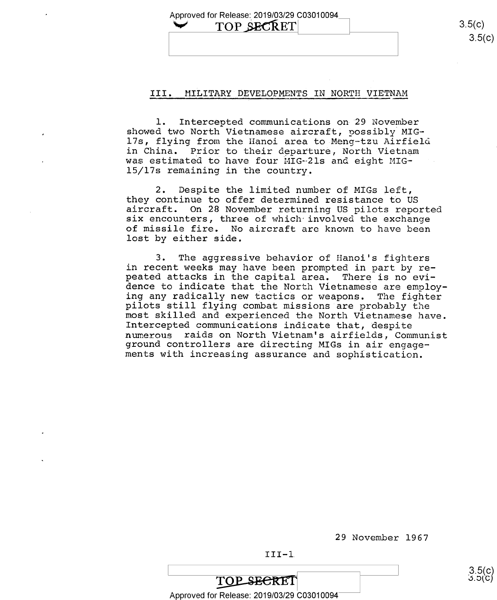Approved for Release: 2019/03/29 C03010094<br>
TOP SECRET

 $3.5(c)$ 

### III. MILITARY DEVELOPMENTS IN NORTH VIETNAM

l. Intercepted communications on 29 November showed two North Vietnamese aircraft, possibly MIG~ 17s, flying from the Hanoi area to Meng—tzu Airfield in China. Prior to their departure, North Vietnam<br>was estimated to have four MIG-21s and eight MIG-15/l7s remaining in the country.

2. Despite the limited number of MIGs left, 2. Despite the limited number of MIGs left,<br>they continue to offer determined resistance to US aircraft. On 28 November returning US pilots reported six encounters, three of which involved the exchange of missile fire. No aircraft are known to have been lost by either side.

3. The aggressive behavior of Hanoi's fighters<br>in recent weeks may have been prompted in part by repeated attacks in the capital area. There is no evidence to indicate that the North Vietnamese are employ-<br>ing any radically new tactics or weapons. The fighter pilots still flying combat missions are probably the<br>most skilled and experienced the North Vietnamese have.<br>Intercepted communications indicate that, despite<br>numerous raids on North Vietnam's airfields, Communist<br>ground c

29 November 1967

III-l\_



9.90<br>3.30C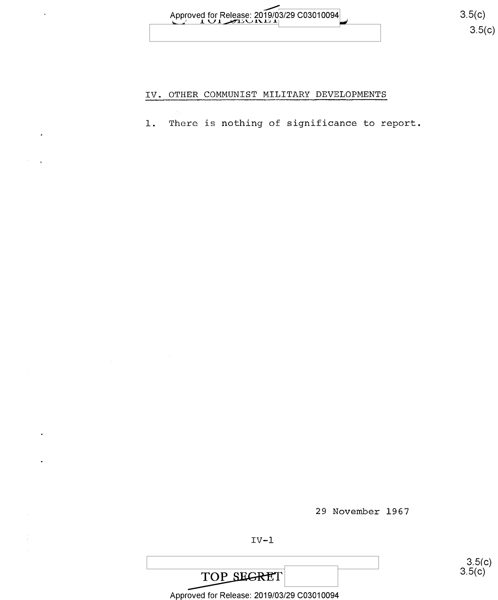

၁.၁(၄)

### IV. OTHER COMMUNIST MILITARY DEVELOPMENTS

1. There is nothing of significance to report.

29 November 1967

 $IV-1$ 

TOP SEGRET

Approved for Release: 2019/03/29 C03010094

 $3.5(c)$ <br> $3.5(c)$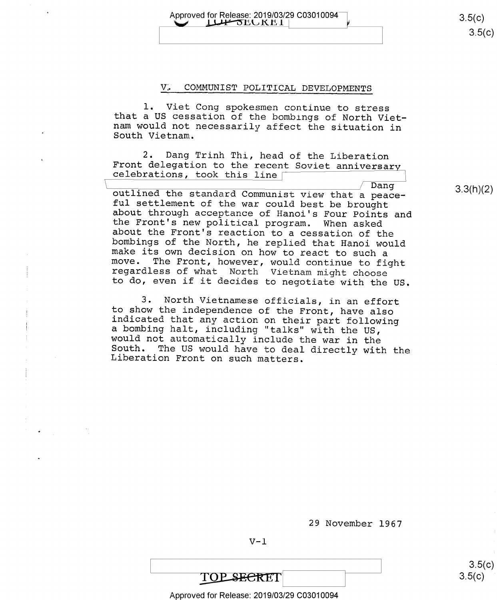Approved for Release: 2019/03/29 C03010094 methonomethy of the person of

 $3.5(c)$  $3.5(c)$ 

### V. COMMUNIST POLITICAL DEVELOPMENTS

l. Viet Cong spokesmen continue to stress that a US cessation of the bombings of North Viet- nam would not necessarily affect the situation in South Vietnam.

2. Dang Trinh Thi, head of the Liberation<br>Front delegation to the recent Soviet anniversary<br>celebrations, took this line

outlined the standard Communist view that a peace-<br>ful settlement of the war could best be brought<br>about through acceptance of Hanoi's Four Points and<br>the Front's new political program. When asked<br>about the Front's reactio

3. North Vietnamese officials, in an effort<br>to show the independence of the Front, have also<br>indicated that any action on their part following<br>a bombing halt, including "talks" with the US,<br>would not automatically include

3.3(h)(2)

29 November 1967

 $V-1$ 

 $\begin{array}{cc}\n & & 3.5(c)\n\end{array}$ <br>
Approved for Release: 2019/03/29 C03010094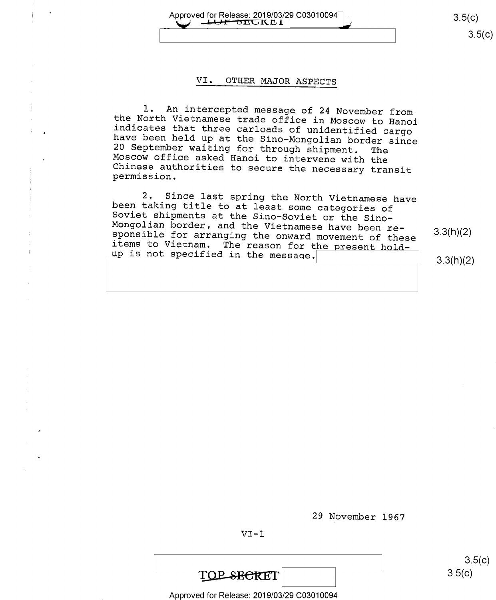Approved for Release: 2019/03/29 C03010094  $3.5(c)$  3.5(c)  $3.5(c)$ 

### VI. OTHER MAJOR ASPECTS

1. An intercepted message of 24 November from<br>the North Vietnamese trade office in Moscow to Hanoi<br>indicates that three carloads of unidentified cargo<br>have been held up at the Sino-Mongolian border since<br>20 September waiti

2. Since last spring the North Vietnamese have<br>been taking title to at least some categories of<br>Soviet shipments at the Sino-Soviet or the Sino-<br>Mongolian border, and the Vietnamese have been re-<br>sponsible for arranging th items to Vietnam. The reason for the present hold-<br>up is not specified in the message. 3.3(h)(2)

29 November 1967

VI-l

 $\overline{\text{TOP} \cdot \text{SEERET}}$  3.5(c)

Approved for Release: 2019/03/29 C03010094

 $3.5(c)$